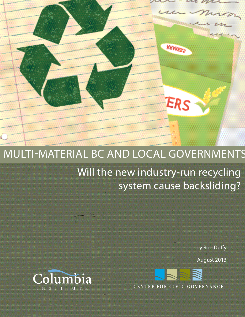## Multi-Material BC and Local Governments

Will the new industry-run recycling system cause backsliding?

KHYKEK2

ERS

by Rob Duffy

August 2013



CENTRE FOR CIVIC GOVERNANCE

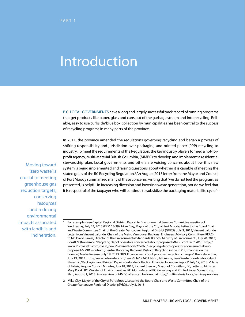# Introduction

B.C. LOCAL GOVERNMENTS have a long and largely successful track record of running programs that get products like paper, glass and cans out of the garbage stream and into recycling. Reliable, easy to use curbside 'blue box' collection by municipalities has been central to the success of recycling programs in many parts of the province.

In 2011, the province amended the regulations governing recycling and began a process of shifting responsibility and jurisdiction over packaging and printed paper (PPP) recycling to industry. To meet the requirements of the Regulation, the key industry players formed a not-forprofit agency, Multi-Material British Columbia, (MMBC) to develop and implement a residential stewardship plan. Local governments and others are voicing concerns about how this new system is being implemented and raising questions about whether it is capable of meeting the stated goals of the BC Recycling Regulation.<sup>1</sup> An August 2013 letter from the Mayor and Council of Port Moody summarized many of these concerns, writing that "we do not feel the program, as presented, is helpful in increasing diversion and lowering waste generation, nor do we feel that it is respectful of the taxpayer who will continue to subsidize the packaging material life cycle."2

Moving toward 'zero waste' is crucial to meeting greenhouse gas reduction targets, conserving resources and reducing environmental impacts associated with landfills and incineration.

<sup>1</sup> For examples, see Capital Regional District, Report to Environmental Services Committee meeting of Wednesday, July 24, 2013 (ERM 13-29); Mike Clay, Mayor of the City of Port Moody, Letter to the Board Chair and Waste Committee Chair of the Greater Vancouver Regional District (GVRD), July 3, 2013; Vincent Lalonde, Letter from Vincent Lalonde, Chair of the Metro Vancouver Regional Engineers Advisory Committee (REAC), to Mr. David Lawes, Director of the Environmental Standards Branch, Ministry of Environment , July 20, 2013; CoastFM (Nanaimo), "Recycling depot operators concerned about proposed MMBC contract," 2013: http:// www.917coastfm.com/coast\_news/news/v/Local/227063/Recycling-depot-operators-concerned-aboutproposed-MMBC-contract ; Central Kootenay Regional District, "Recycling in the RDCK, changes on the horizon," Media Release, July 19, 2013; "RDCK concerned about proposed recycling changes," The Nelson Star, July 19, 2013: http://www.nelsonstar.com/news/216193451.html ; Jeff Ainge, Zero Waste Coordinator, City of Nanaimo, "Packaging and Printed Paper - Curbside Collection Financial Incentive Report," July 17, 2013; Village of Tahsis, Regular Council Minutes, July 18, 2013; Richard Stewart, Mayor of Coquitlam, BC, Letter to Minister Mary Polak, BC Minister of Environment, re: RE: Multi-Material BC Packaging and Printed Paper Stewardship Plan, August 1, 2013. An overview of MMBC offers can be found at http://multimaterialbc.ca/service-providers

<sup>2</sup> Mike Clay, Mayor of the City of Port Moody, Letter to the Board Chair and Waste Committee Chair of the Greater Vancouver Regional District (GVRD), July 3, 2013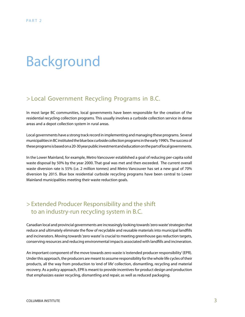# Background

## > Local Government Recycling Programs in B.C. .

In most large BC communities, local governments have been responsible for the creation of the residential recycling collection programs. This usually involves a curbside collection service in dense areas and a depot collection system in rural areas. .

Local governments have a strong track record in implementing and managing these programs. Several municipalities in BC instituted the blue box curbside collection programs in the early 1990's. The success of these programs is based on a 20-30 year public investment and education on the part of local governments.

In the Lower Mainland, for example, Metro Vancouver established a goal of reducing per-capita solid waste disposal by 50% by the year 2000. That goal was met and then exceeded. The current overall waste diversion rate is 55% (i.e. 2 million tonnes) and Metro Vancouver has set a new goal of 70% diversion by 2015. Blue box residential curbside recycling programs have been central to Lower Mainland municipalities meeting their waste reduction goals.

## > Extended Producer Responsibility and the shift to an industry-run recycling system in B.C.

Canadian local and provincial governments are increasingly looking towards 'zero waste' strategies that reduce and ultimately eliminate the flow of recyclable and reusable materials into municipal landfills and incinerators. Moving towards 'zero waste' is crucial to meeting greenhouse gas reduction targets, conserving resources and reducing environmental impacts associated with landfills and incineration.

An important component of the move towards zero waste is 'extended producer responsibility' (EPR). Under this approach, the producers are meant to assume responsibility for the whole life cycles of their products, all the way from production to 'end of life' collection, dismantling, recycling and material recovery. As a policy approach, EPR is meant to provide incentives for product design and production that emphasizes easier recycling, dismantling and repair, as well as reduced packaging.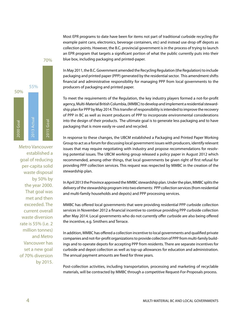Most EPR programs to date have been for items not part of traditional curbside recycling (for example paint cans, electronics, beverage containers, etc) and instead use drop off depots as collection points. However, the B.C. provincial government is in the process of trying to launch an EPR program that targets a significant portion of what the public currently puts into their blue box, including packaging and printed-paper.



Metro Vancouver established a goal of reducing per-capita solid waste disposal by 50% by the year 2000. That goal was met and then exceeded. The current overall waste diversion rate is 55% (i.e. 2 million tonnes) and Metro Vancouver has set a new goal of 70% diversion by 2015.

In May 2011, the B.C. Government amended the Recycling Regulation (the Regulation) to include packaging and printed paper (PPP) generated by the residential sector. This amendment shifts financial and administrative responsibility for managing PPP from local governments to the producers of packaging and printed paper.

To meet the requirements of the Regulation, the key industry players formed a not-for-profit agency, Multi-Material British Columbia, (MMBC) to develop and implement a residential stewardship plan for PPP by May 2014. This transfer of responsibility is intended to improve the recovery of PPP in BC as well as incent producers of PPP to incorporate environmental considerations into the design of their products. The ultimate goal is to generate less packaging and to have packaging that is more easily re-used and recycled.

In response to these changes, the UBCM established a Packaging and Printed Paper Working Group to act as a forum for discussing local government issues with producers, identify relevant issues that may require negotiating with industry and propose recommendations for resolving potential issues. The UBCM working group released a policy paper in August 2012 which recommended, among other things, that local governments be given right of first refusal for providing PPP collection services. This request was respected by MMBC in the creation of the stewardship plan.

In April 2013 the Province approved the MMBC stewardship plan. Under the plan, MMBC splits the delivery of the stewardship program into two elements: PPP collection services (from residential and multi-family households and depots) and PPP processing services.

MMBC has offered local governments that were providing residential PPP curbside collection services in November 2012 a financial incentive to continue providing PPP curbside collection after May 2014. Local governments who do not currently offer curbside are also being offered the incentive, e.g. Smithers and Terrace.

In addition, MMBC has offered a collection incentive to local governments and qualified private companies and not-for-profit organizations to provide collection of PPP from multi-family buildings and to operate depots for accepting PPP from residents. There are separate incentives for curbside and depot collection as well as top-up allowances for education and administration. The annual payment amounts are fixed for three years.

Post-collection activities, including transportation, processing and marketing of recyclable materials, will be contracted by MMBC through a competitive Request-For-Proposals process.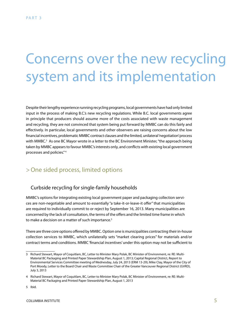# Concerns over the new recycling system and its implementation

Despite their lengthy experience running recycling programs, local governments have had only limited input in the process of making B.C.'s new recycling regulations. While B.C. local governments agree in principle that producers should assume more of the costs associated with waste management and recycling, they are not convinced that system being put forward by MMBC can do this fairly and effectively. In particular, local governments and other observers are raising concerns about the low financial incentives, problematic MMBC contract clauses and the limited, unilateral 'negotiation' process with MMBC.<sup>3</sup> As one BC Mayor wrote in a letter to the BC Environment Minister, "the approach being taken by MMBC appears to favour MMBC's interests only, and conflicts with existing local government processes and policies." 4 2

## >One sided process, limited options

## Curbside recycling for single-family households

MMBC's options for integrating existing local government paper and packaging collection services are non-negotiable and amount to essentially "a take-it-or-leave-it offer" that municipalities are required to individually commit to or reject by September 16, 2013. Many municipalities are concerned by the lack of consultation, the terms of the offers and the limited time frame in which to make a decision on a matter of such importance.<sup>5</sup>

There are three core options offered by MMBC. Option one is municipalities contracting their in-house collection services to MMBC, which unilaterally sets "market clearing prices" for materials and/or contract terms and conditions. MMBC 'financial incentives' under this option may not be sufficient to

<sup>3</sup> Richard Stewart, Mayor of Coquitlam, BC, Letter to Minister Mary Polak, BC Minister of Environment, re: RE: Multi-Material BC Packaging and Printed Paper Stewardship Plan, August 1, 2013; Capital Regional District, Report to Environmental Services Committee meeting of Wednesday, July 24, 2013 (ERM 13-29); Mike Clay, Mayor of the City of Port Moody, Letter to the Board Chair and Waste Committee Chair of the Greater Vancouver Regional District (GVRD), July 3, 2013

<sup>4</sup> Richard Stewart, Mayor of Coquitlam, BC, Letter to Minister Mary Polak, BC Minister of Environment, re: RE: Multi-Material BC Packaging and Printed Paper Stewardship Plan, August 1, 2013

<sup>5</sup> Ibid.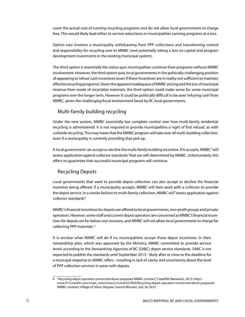cover the actual cost of running recycling programs and do not allow local governments to charge fees. This would likely lead either to service reductions or municipalities running programs at a loss.

Option two involves a municipality withdrawing from PPP collections and transitioning control and responsibility for recycling over to MMBC (and potentially taking a loss on capital and program development investments in the existing municipal system).

The third option is essentially the status quo; municipalities continue their programs without MMBC involvement. However, the third option puts local governments in the politically challenging position of appearing to 'refuse' cash incentives (even if these 'incentives' are in reality not sufficient to maintain effective recycling programs). Given the apparent inadequacy of MMBC pricing and the loss of municipal revenue from resale of recyclable materials, the third option could make sense for some municipal programs over the longer term. However it could be politically difficult to be seen 'refusing cash' from MMBC, given the challenging fiscal environment faced by BC local governments.

#### Multi-family building recycling

Under the new system, MMBC essentially has complete control over how multi-family residential recycling is administered. It is not required to provide municipalities a 'right of first refusal', as with curbside recycling. This may mean that the MMBC program will take over all multi-building collection, even if a municipality is currently providing that pick up.

A local government can accept or decline the multi-family building incentive. If it accepts, MMBC "will assess application against collector standards" that are self-determined by MMBC. Unfortunately, this offers no guarantee that successful municipal programs will continue.

#### Recycling Depots

Local governments that want to provide depot collection can also accept or decline the financial incentive being offered. If a municipality accepts, MMBC will then work with a collector to provide the depot service. In a similar fashion to multi-family collection, MMBC will "assess application against collector standards."

MMBC's financial incentives for depots are offered to local governments, non-profit groups and private operators. However, some staff and current depot operators are concerned as MMBC's financial incentives for depots are far below cost recovery, and MMBC will not allow local governments to charge for collecting PPP materials.<sup>6</sup>

It is unclear what MMBC will do if no municipalities accept these depot incentives. In their stewardship plan, which was approved by the Ministry, MMBC committed to provide service levels according to the Stewardship Agencies of BC (SABC) depot service standards. SABC is not expected to publish the standards until September 2013 - likely after or close to the deadline for a muncipal response to MMBC offers - resulting in lack of clarity and uncertainty about the level of PPP collection services in areas with depots.

<sup>6</sup> "Recycling depot operators concerned about proposed MMBC contract," CoastFM (Nanaimo), 2013: http:// www.917coastfm.com/coast\_news/news/v/Local/227063/Recycling-depot-operators-concerned-about-proposed-MMBC-contract; Village of Tahsis, Regular Council Minutes, July 18, 2013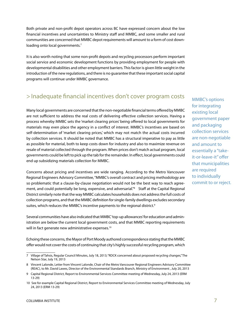Both private and non-profit depot operators across BC have expressed concern about the low financial incentives and uncertainties to Ministry staff and MMBC, and some smaller and rural communities are concerned that MMBC depot requirements will amount to a form of cost downloading onto local governments. $7$ 

It is also worth noting that some non-profit depots and recycling processors perform important social service and economic development functions by providing employment for people with developmental disabilities and other employment barriers. This factor is given little weight in the introduction of the new regulations, and there is no guarantee that these important social capital programs will continue under MMBC governance.

## > Inadequate financial incentives don't cover program costs

Many local governments are concerned that the non-negotiable financial terms offered by MMBC are not sufficient to address the real costs of delivering effective collection services. Having a process whereby MMBC sets the 'market clearing prices' being offered to local governments for materials may even place the agency in a conflict of interest. MMBC's incentives are based on self-determination of 'market clearing prices,' which may not match the actual costs incurred by collection services. It should be noted that MMBC has a structural imperative to pay as little as possible for material, both to keep costs down for industry and also to maximize revenue on resale of material collected through the program. When prices don't match actual program, local governments could be left to pick up the tab for the remainder. In effect, local governments could end up subsidizing materials collection for MMBC.

Concerns about pricing and incentives are wide ranging. According to the Metro Vancouver Regional Engineers Advisory Committee, "MMBC's overall contract and pricing methodology are so problematic that a clause-by-clause negotiation would not be the best way to reach agreement, and could potentially be long, expensive, and adversarial."<sup>8</sup> Staff at the Capital Regional District similarly note that the way MMBC calculates households does not address the full costs of collection programs, and that the MMBC definition for single-family dwellings excludes secondary suites, which reduces the MMBC's incentive payments to the regional district.<sup>9</sup>

Several communities have also indicated that MMBC 'top-up allowances' for education and administration are below the current local government costs, and that MMBC reporting requirements will in fact generate new administrative expenses.<sup>10</sup>

Echoing these concerns, the Mayor of Port Moody authored correspondence stating that the MMBC offer would not cover the costs of continuing that city's highly successful recycling program, which MMBC's options for integrating existing local government paper and packaging collection services are non-negotiable and amount to essentially a "takeit-or-leave-it" offer that municipalities are required to individually commit to or reject.

<sup>7</sup> Village of Tahsis, Regular Council Minutes, July 18, 2013; "RDCK concerned about proposed recycling changes," The Nelson Star, July 19, 2013

<sup>8</sup> Vincent Lalonde, Letter from Vincent Lalonde, Chair of the Metro Vancouver Regional Engineers Advisory Committee (REAC), to Mr. David Lawes, Director of the Environmental Standards Branch, Ministry of Environment , July 20, 2013

<sup>9</sup> Capital Regional District, Report to Environmental Services Committee meeting of Wednesday, July 24, 2013 (ERM 13-29)

<sup>10</sup> See for example Capital Regional District, Report to Environmental Services Committee meeting of Wednesday, July 24, 2013 (ERM 13-29)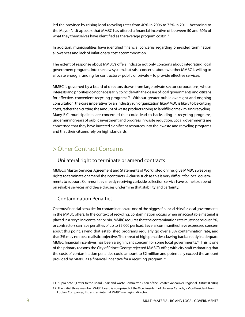led the province by raising local recycling rates from 40% in 2006 to 75% in 2011. According to the Mayor, "…it appears that MMBC has offered a financial incentive of between 50 and 60% of what they themselves have identified as the 'average program costs." $11$ 

In addition, municipalities have identified financial concerns regarding one-sided termination allowances and lack of inflationary cost accommodation.

The extent of response about MMBC's offers indicate not only concerns about integrating local government programs into the new system, but raise concerns about whether MMBC is willing to allocate enough funding for contractors– public or private – to provide effective services.

MMBC is governed by a board of directors drawn from large private sector corporations, whose interests and priorities do not necessarily coincide with the desire of local governments and citizens for effective, convenient recycling programs.<sup>12</sup> Without greater public oversight and ongoing consultation, the core imperative for an industry run organization like MMBC is likely to be cutting costs, rather than cutting the amount of waste products going to landfills or maximizing recycling. Many B.C. municipalities are concerned that could lead to backsliding in recycling programs, undermining years of public investment and progress in waste reduction. Local governments are concerned that they have invested significant resources into their waste and recycling programs and that their citizens rely on high standards.

## >Other Contract Concerns

#### Unilateral right to terminate or amend contracts

MMBC's Master Services Agreement and Statements of Work listed online, give MMBC sweeping rights to terminate or amend their contracts. A clause such as this is very difficult for local governments to support. Communities already receiving curbside collection service have come to depend on reliable services and these clauses undermine that stability and certainty.

## Contamination Penalties

Onerous financial penalties for contamination are one of the biggest financial risks for local governments in the MMBC offers. In the context of recycling, contamination occurs when unacceptable material is placed in a recycling container or bin. MMBC requires that the contamination rate must not be over 3%, or contractors can face penalties of up to \$5,000 per load. Several communities have expressed concern about this point, saying that established programs regularly go over a 3% contamination rate, and that 3% may not be a realistic objective. The threat of high penalties clawing back already inadequate MMBC financial incentives has been a significant concern for some local governments.<sup>13</sup> This is one of the primary reasons the City of Prince George rejected MMBC's offer, with city staff estimating that the costs of contamination penalties could amount to \$2 million and potentially exceed the amount provided by MMBC as a financial incentive for a recycling program.14

<sup>11</sup> Supra note 3,Letter to the Board Chair and Waste Committee Chair of the Greater Vancouver Regional District (GVRD)

<sup>12</sup> The initial three member MMBC board is comprised of the Vice President of Unilever Canada, a Vice President from Loblaw Companies, Ltd and an internal MMBC managing director.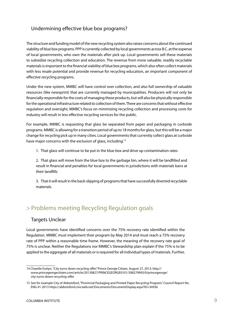## Undermining effective blue box programs?

The structure and funding model of the new recycling system also raises concerns about the continued viability of blue box programs. PPP is currently collected by local governments across B.C. at the expense of local governments, who own the materials after pick up. Local governments sell these materials to subsidize recycling collection and education. The revenue from more valuable, readily recyclable materials is important to the financial viability of blue box programs, which also often collect materials with less resale potential and provide revenue for recycling education, an important component of effective recycling programs.

Under the new system, MMBC will have control over collection, and also full ownership of valuable resources (like newsprint) that are currently managed by municipalities. Producers will not only be financially responsible for the costs of managing these products, but will also be physically responsible for the operational infrastructure related to collection of them. There are concerns that without effective regulation and oversight, MMBC's focus on minimizing recycling collection and processing costs for industry will result in less effective recycling services for the public.

For example, MMBC is requesting that glass be separated from paper and packaging in curbside programs. MMBC is allowing for a transition period of up to 18 months for glass, but this will be a major change for recycling pick up in many cities. Local governments that currently collect glass at curbside have major concerns with the exclusion of glass, including:<sup>15</sup>

1. That glass will continue to be put in the blue box and drive up contamination rates

2. That glass will move from the blue box to the garbage bin, where it will be landfilled and result in financial and penalties for local governments in jurisdictions with materials bans at their landfills

3. That it will result in the back-slipping of programs that have successfully diverted recyclable materials.

## > Problems meeting Recycling Regulation goals

#### Targets Unclear

Local governments have identified concerns over the 75% recovery rate identified within the Regulation. MMBC must implement their program by May 2014 and must reach a 75% recovery rate of PPP within a reasonable time frame. However, the meaning of the recovery rate goal of 75% is unclear. Neither the Regulations nor MMBC's Stewardship plan explain if the 75% is to be applied to the aggregate of all materials or is required for all individual types of materials. Further,

<sup>14</sup> Charelle Evelyn, "City turns down recycling offer," Prince George Citizen, August 27, 2013: http:// www.princegeorgecitizen.com/article/20130827/PRINCEGEORGE0101/308279993/0/princegeorge/ city-turns-down-recycling-offer

<sup>15</sup> See for example City of Abbotsford, "Provincial Packaging and Printed Paper Recycling Program," Council Report No. ENG 41-2013 https://abbotsford.civicweb.net/Documents/DocumentDisplay.aspx?ID=34936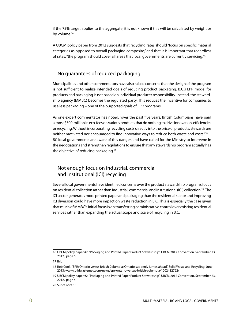if the 75% target applies to the aggregate, it is not known if this will be calculated by weight or by volume. $16$ 

A UBCM policy paper from 2012 suggests that recycling rates should "focus on specific material categories as opposed to overall packaging composite," and that it is important that regardless of rates, "the program should cover all areas that local governments are currently servicing."<sup>17</sup>

#### No guarantees of reduced packaging

Municipalities and other commentators have also raised concerns that the design of the program is not sufficient to realize intended goals of reducing product packaging. B.C.'s EPR model for products and packaging is not based on individual producer responsibility. Instead, the stewardship agency (MMBC) becomes the regulated party. This reduces the incentive for companies to use less packaging – one of the purported goals of EPR programs.

As one expert commentator has noted, "over the past five years, British Columbians have paid almost \$500-million in eco-fees on various products that do nothing to drive innovation, efficiencies or recycling. Without incorporating recycling costs directly into the price of products, stewards are neither motivated nor encouraged to find innovative ways to reduce both waste and costs."<sup>18</sup> BC local governments are aware of this danger, and have called for the Ministry to intervene in the negotiations and strengthen regulations to ensure that any stewardship program actually has the objective of reducing packaging.<sup>19</sup>

## Not enough focus on industrial, commercial and institutional (ICI) recycling

Several local governments have identified concerns over the product stewardship program's focus on residential collection rather than industrial, commercial and institutional (ICI) collection.<sup>20</sup> The ICI sector generates more printed paper and packaging than the residential sector and improving ICI diversion could have more impact on waste reduction in B.C. This is especially the case given that much of MMBC's initial focus is on transferring administrative control over existing residential services rather than expanding the actual scope and scale of recycling in B.C.

<sup>16</sup> UBCM policy paper #2, "Packaging and Printed Paper Product Stewardship", UBCM 2012 Convention, September 23, 2012, page 6

<sup>17</sup> Ibid.

<sup>18</sup> Rob Cook, "EPR: Ontario versus British Columbia; Ontario suddenly jumps ahead," Solid Waste and Recycling, June 2013: www.solidwastemag.com/news/epr-ontario-versus-british-columbia/1002482762/

<sup>19</sup> UBCM policy paper #2, "Packaging and Printed Paper Product Stewardship", UBCM 2012 Convention, September 23, 2012, page 4

<sup>20</sup> Supra note 15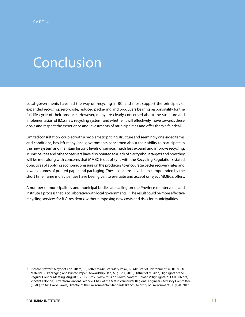# Conclusion

Local governments have led the way on recycling in BC, and most support the principles of expanded recycling, zero waste, reduced packaging and producers bearing responsibility for the full life-cycle of their products. However, many are clearly concerned about the structure and implementation of B.C.'s new recycling system, and whether it will effectively move towards these goals and respect the experience and investments of municipalities and offer them a fair deal.

Limited consultation, coupled with a problematic pricing structure and seemingly one-sided terms and conditions, has left many local governments concerned about their ability to participate in the new system and maintain historic levels of service, much less expand and improve recycling. Municipalities and other observers have also pointed to a lack of clarity about targets and how they will be met, along with concerns that MMBC is out of sync with the Recycling Regulation's stated objectives of applying economic pressure on the producers to encourage better recovery rates and lower volumes of printed paper and packaging. These concerns have been compounded by the short time frame municipalities have been given to evaluate and accept or reject MMBC's offers.

A number of municipalities and municipal bodies are calling on the Province to intervene, and institute a process that is collaborative with local governments.<sup>21</sup> The result could be more effective recycling services for B.C. residents, without imposing new costs and risks for municipalities.

<sup>21</sup> Richard Stewart, Mayor of Coquitlam, BC, Letter to Minister Mary Polak, BC Minister of Environment, re: RE: Multi-Material BC Packaging and Printed Paper Stewardship Plan, August 1, 2013; District of Mission, Highlights of the Regular Council Meeting, August 6, 2013: http://www.mission.ca/wp-content/uploads/Highlights-2013-08-06.pdf; Vincent Lalonde, Letter from Vincent Lalonde, Chair of the Metro Vancouver Regional Engineers Advisory Committee (REAC), to Mr. David Lawes, Director of the Environmental Standards Branch, Ministry of Environment , July 20, 2013